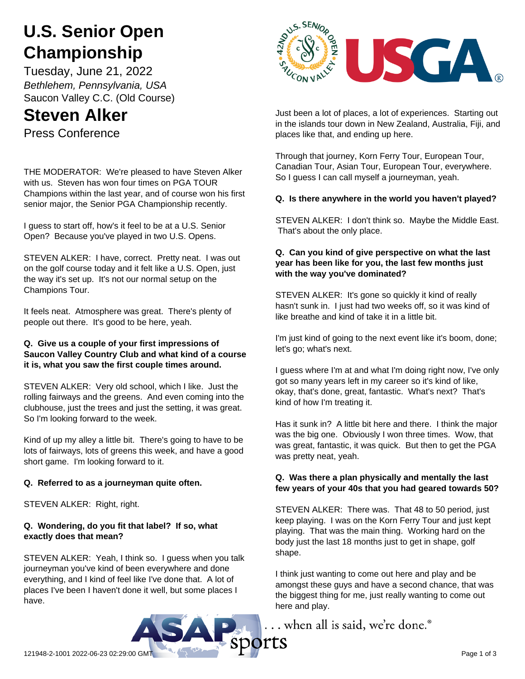# **U.S. Senior Open Championship**

Tuesday, June 21, 2022 *Bethlehem, Pennsylvania, USA* Saucon Valley C.C. (Old Course)

# **Steven Alker**

Press Conference

THE MODERATOR: We're pleased to have Steven Alker with us. Steven has won four times on PGA TOUR Champions within the last year, and of course won his first senior major, the Senior PGA Championship recently.

I guess to start off, how's it feel to be at a U.S. Senior Open? Because you've played in two U.S. Opens.

STEVEN ALKER: I have, correct. Pretty neat. I was out on the golf course today and it felt like a U.S. Open, just the way it's set up. It's not our normal setup on the Champions Tour.

It feels neat. Atmosphere was great. There's plenty of people out there. It's good to be here, yeah.

#### **Q. Give us a couple of your first impressions of Saucon Valley Country Club and what kind of a course it is, what you saw the first couple times around.**

STEVEN ALKER: Very old school, which I like. Just the rolling fairways and the greens. And even coming into the clubhouse, just the trees and just the setting, it was great. So I'm looking forward to the week.

Kind of up my alley a little bit. There's going to have to be lots of fairways, lots of greens this week, and have a good short game. I'm looking forward to it.

# **Q. Referred to as a journeyman quite often.**

STEVEN ALKER: Right, right.

# **Q. Wondering, do you fit that label? If so, what exactly does that mean?**

STEVEN ALKER: Yeah, I think so. I guess when you talk journeyman you've kind of been everywhere and done everything, and I kind of feel like I've done that. A lot of places I've been I haven't done it well, but some places I have.



Just been a lot of places, a lot of experiences. Starting out in the islands tour down in New Zealand, Australia, Fiji, and places like that, and ending up here.

Through that journey, Korn Ferry Tour, European Tour, Canadian Tour, Asian Tour, European Tour, everywhere. So I guess I can call myself a journeyman, yeah.

# **Q. Is there anywhere in the world you haven't played?**

STEVEN ALKER: I don't think so. Maybe the Middle East. That's about the only place.

# **Q. Can you kind of give perspective on what the last year has been like for you, the last few months just with the way you've dominated?**

STEVEN ALKER: It's gone so quickly it kind of really hasn't sunk in. I just had two weeks off, so it was kind of like breathe and kind of take it in a little bit.

I'm just kind of going to the next event like it's boom, done; let's go; what's next.

I guess where I'm at and what I'm doing right now, I've only got so many years left in my career so it's kind of like, okay, that's done, great, fantastic. What's next? That's kind of how I'm treating it.

Has it sunk in? A little bit here and there. I think the major was the big one. Obviously I won three times. Wow, that was great, fantastic, it was quick. But then to get the PGA was pretty neat, yeah.

# **Q. Was there a plan physically and mentally the last few years of your 40s that you had geared towards 50?**

STEVEN ALKER: There was. That 48 to 50 period, just keep playing. I was on the Korn Ferry Tour and just kept playing. That was the main thing. Working hard on the body just the last 18 months just to get in shape, golf shape.

I think just wanting to come out here and play and be amongst these guys and have a second chance, that was the biggest thing for me, just really wanting to come out here and play.

... when all is said, we're done.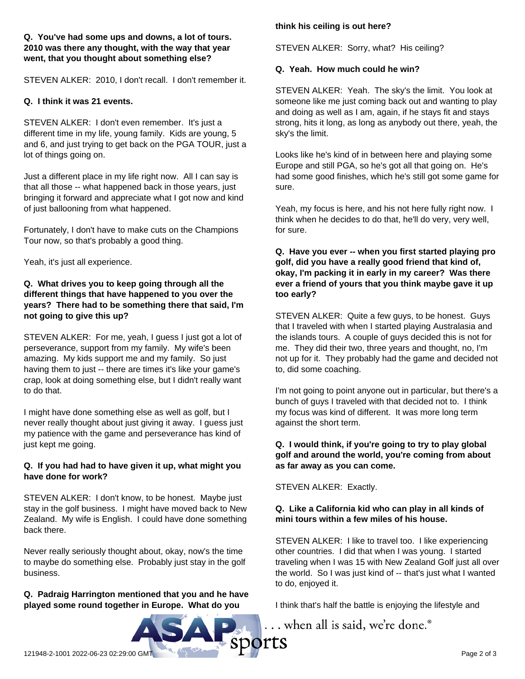#### **Q. You've had some ups and downs, a lot of tours. 2010 was there any thought, with the way that year went, that you thought about something else?**

STEVEN ALKER: 2010, I don't recall. I don't remember it.

#### **Q. I think it was 21 events.**

STEVEN ALKER: I don't even remember. It's just a different time in my life, young family. Kids are young, 5 and 6, and just trying to get back on the PGA TOUR, just a lot of things going on.

Just a different place in my life right now. All I can say is that all those -- what happened back in those years, just bringing it forward and appreciate what I got now and kind of just ballooning from what happened.

Fortunately, I don't have to make cuts on the Champions Tour now, so that's probably a good thing.

Yeah, it's just all experience.

#### **Q. What drives you to keep going through all the different things that have happened to you over the years? There had to be something there that said, I'm not going to give this up?**

STEVEN ALKER: For me, yeah, I guess I just got a lot of perseverance, support from my family. My wife's been amazing. My kids support me and my family. So just having them to just -- there are times it's like your game's crap, look at doing something else, but I didn't really want to do that.

I might have done something else as well as golf, but I never really thought about just giving it away. I guess just my patience with the game and perseverance has kind of just kept me going.

# **Q. If you had had to have given it up, what might you have done for work?**

STEVEN ALKER: I don't know, to be honest. Maybe just stay in the golf business. I might have moved back to New Zealand. My wife is English. I could have done something back there.

Never really seriously thought about, okay, now's the time to maybe do something else. Probably just stay in the golf business.

# **Q. Padraig Harrington mentioned that you and he have played some round together in Europe. What do you**

#### **think his ceiling is out here?**

STEVEN ALKER: Sorry, what? His ceiling?

#### **Q. Yeah. How much could he win?**

STEVEN ALKER: Yeah. The sky's the limit. You look at someone like me just coming back out and wanting to play and doing as well as I am, again, if he stays fit and stays strong, hits it long, as long as anybody out there, yeah, the sky's the limit.

Looks like he's kind of in between here and playing some Europe and still PGA, so he's got all that going on. He's had some good finishes, which he's still got some game for sure.

Yeah, my focus is here, and his not here fully right now. I think when he decides to do that, he'll do very, very well, for sure.

#### **Q. Have you ever -- when you first started playing pro golf, did you have a really good friend that kind of, okay, I'm packing it in early in my career? Was there ever a friend of yours that you think maybe gave it up too early?**

STEVEN ALKER: Quite a few guys, to be honest. Guys that I traveled with when I started playing Australasia and the islands tours. A couple of guys decided this is not for me. They did their two, three years and thought, no, I'm not up for it. They probably had the game and decided not to, did some coaching.

I'm not going to point anyone out in particular, but there's a bunch of guys I traveled with that decided not to. I think my focus was kind of different. It was more long term against the short term.

#### **Q. I would think, if you're going to try to play global golf and around the world, you're coming from about as far away as you can come.**

STEVEN ALKER: Exactly.

# **Q. Like a California kid who can play in all kinds of mini tours within a few miles of his house.**

STEVEN ALKER: I like to travel too. I like experiencing other countries. I did that when I was young. I started traveling when I was 15 with New Zealand Golf just all over the world. So I was just kind of -- that's just what I wanted to do, enjoyed it.

I think that's half the battle is enjoying the lifestyle and

... when all is said, we're done.®